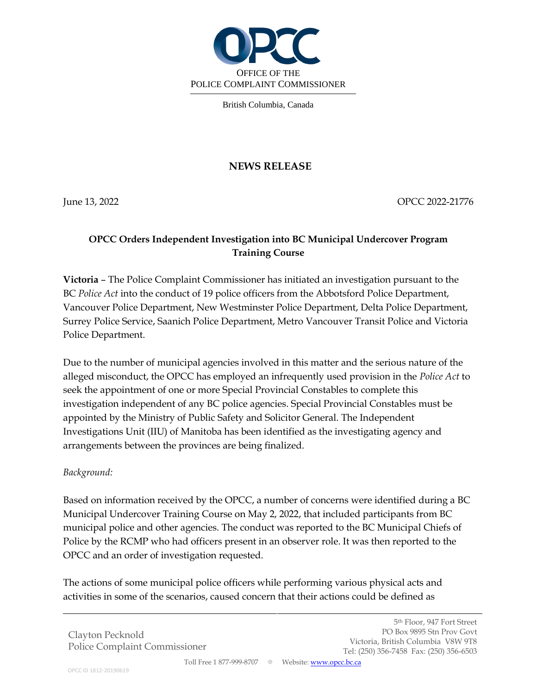

British Columbia, Canada

## **NEWS RELEASE**

June 13, 2022 OPCC 2022-21776

## **OPCC Orders Independent Investigation into BC Municipal Undercover Program Training Course**

**Victoria** – The Police Complaint Commissioner has initiated an investigation pursuant to the BC *Police Act* into the conduct of 19 police officers from the Abbotsford Police Department, Vancouver Police Department, New Westminster Police Department, Delta Police Department, Surrey Police Service, Saanich Police Department, Metro Vancouver Transit Police and Victoria Police Department.

Due to the number of municipal agencies involved in this matter and the serious nature of the alleged misconduct, the OPCC has employed an infrequently used provision in the *Police Act* to seek the appointment of one or more Special Provincial Constables to complete this investigation independent of any BC police agencies. Special Provincial Constables must be appointed by the Ministry of Public Safety and Solicitor General. The Independent Investigations Unit (IIU) of Manitoba has been identified as the investigating agency and arrangements between the provinces are being finalized.

## *Background:*

Based on information received by the OPCC, a number of concerns were identified during a BC Municipal Undercover Training Course on May 2, 2022, that included participants from BC municipal police and other agencies. The conduct was reported to the BC Municipal Chiefs of Police by the RCMP who had officers present in an observer role. It was then reported to the OPCC and an order of investigation requested.

The actions of some municipal police officers while performing various physical acts and activities in some of the scenarios, caused concern that their actions could be defined as

Clayton Pecknold Police Complaint Commissioner